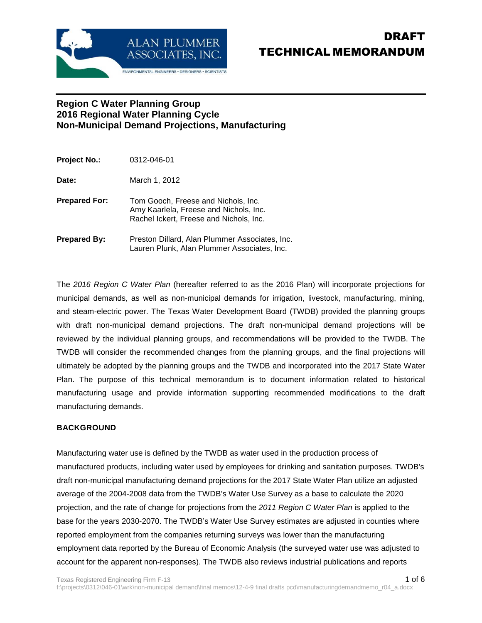

# DRAFT TECHNICAL MEMORANDUM

### **Region C Water Planning Group 2016 Regional Water Planning Cycle Non-Municipal Demand Projections, Manufacturing**

| <b>Project No.:</b>  | 0312-046-01                                                                                                              |
|----------------------|--------------------------------------------------------------------------------------------------------------------------|
| Date:                | March 1, 2012                                                                                                            |
| <b>Prepared For:</b> | Tom Gooch, Freese and Nichols, Inc.<br>Amy Kaarlela, Freese and Nichols, Inc.<br>Rachel Ickert, Freese and Nichols, Inc. |
| Prepared By:         | Preston Dillard, Alan Plummer Associates, Inc.<br>Lauren Plunk, Alan Plummer Associates, Inc.                            |

The 2016 Region C Water Plan (hereafter referred to as the 2016 Plan) will incorporate projections for municipal demands, as well as non-municipal demands for irrigation, livestock, manufacturing, mining, and steam-electric power. The Texas Water Development Board (TWDB) provided the planning groups with draft non-municipal demand projections. The draft non-municipal demand projections will be reviewed by the individual planning groups, and recommendations will be provided to the TWDB. The TWDB will consider the recommended changes from the planning groups, and the final projections will ultimately be adopted by the planning groups and the TWDB and incorporated into the 2017 State Water Plan. The purpose of this technical memorandum is to document information related to historical manufacturing usage and provide information supporting recommended modifications to the draft manufacturing demands.

#### **BACKGROUND**

Manufacturing water use is defined by the TWDB as water used in the production process of manufactured products, including water used by employees for drinking and sanitation purposes. TWDB's draft non-municipal manufacturing demand projections for the 2017 State Water Plan utilize an adjusted average of the 2004-2008 data from the TWDB's Water Use Survey as a base to calculate the 2020 projection, and the rate of change for projections from the 2011 Region C Water Plan is applied to the base for the years 2030-2070. The TWDB's Water Use Survey estimates are adjusted in counties where reported employment from the companies returning surveys was lower than the manufacturing employment data reported by the Bureau of Economic Analysis (the surveyed water use was adjusted to account for the apparent non-responses). The TWDB also reviews industrial publications and reports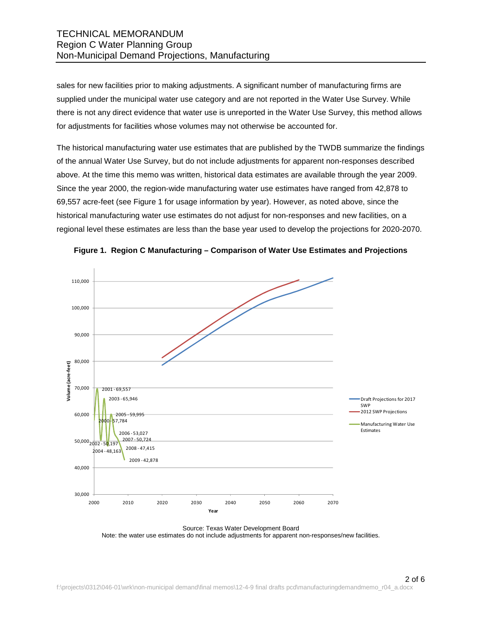### TECHNICAL MEMORANDUM Region C Water Planning Group Non-Municipal Demand Projections, Manufacturing

sales for new facilities prior to making adjustments. A significant number of manufacturing firms are supplied under the municipal water use category and are not reported in the Water Use Survey. While there is not any direct evidence that water use is unreported in the Water Use Survey, this method allows for adjustments for facilities whose volumes may not otherwise be accounted for.

The historical manufacturing water use estimates that are published by the TWDB summarize the findings of the annual Water Use Survey, but do not include adjustments for apparent non-responses described above. At the time this memo was written, historical data estimates are available through the year 2009. Since the year 2000, the region-wide manufacturing water use estimates have ranged from 42,878 to 69,557 acre-feet (see Figure 1 for usage information by year). However, as noted above, since the historical manufacturing water use estimates do not adjust for non-responses and new facilities, on a regional level these estimates are less than the base year used to develop the projections for 2020-2070.





Source: Texas Water Development Board Note: the water use estimates do not include adjustments for apparent non-responses/new facilities.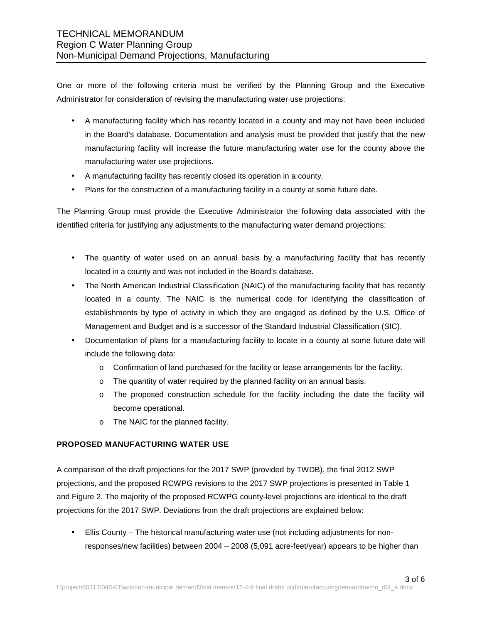One or more of the following criteria must be verified by the Planning Group and the Executive Administrator for consideration of revising the manufacturing water use projections:

- A manufacturing facility which has recently located in a county and may not have been included in the Board's database. Documentation and analysis must be provided that justify that the new manufacturing facility will increase the future manufacturing water use for the county above the manufacturing water use projections.
- A manufacturing facility has recently closed its operation in a county.
- Plans for the construction of a manufacturing facility in a county at some future date.

The Planning Group must provide the Executive Administrator the following data associated with the identified criteria for justifying any adjustments to the manufacturing water demand projections:

- The quantity of water used on an annual basis by a manufacturing facility that has recently located in a county and was not included in the Board's database.
- The North American Industrial Classification (NAIC) of the manufacturing facility that has recently located in a county. The NAIC is the numerical code for identifying the classification of establishments by type of activity in which they are engaged as defined by the U.S. Office of Management and Budget and is a successor of the Standard Industrial Classification (SIC).
- Documentation of plans for a manufacturing facility to locate in a county at some future date will include the following data:
	- o Confirmation of land purchased for the facility or lease arrangements for the facility.
	- o The quantity of water required by the planned facility on an annual basis.
	- o The proposed construction schedule for the facility including the date the facility will become operational.
	- o The NAIC for the planned facility.

#### **PROPOSED MANUFACTURING WATER USE**

A comparison of the draft projections for the 2017 SWP (provided by TWDB), the final 2012 SWP projections, and the proposed RCWPG revisions to the 2017 SWP projections is presented in Table 1 and Figure 2. The majority of the proposed RCWPG county-level projections are identical to the draft projections for the 2017 SWP. Deviations from the draft projections are explained below:

• Ellis County – The historical manufacturing water use (not including adjustments for nonresponses/new facilities) between 2004 – 2008 (5,091 acre-feet/year) appears to be higher than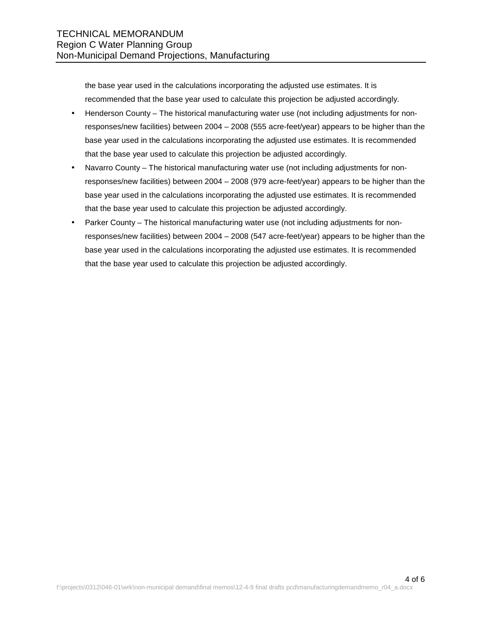the base year used in the calculations incorporating the adjusted use estimates. It is recommended that the base year used to calculate this projection be adjusted accordingly.

- Henderson County The historical manufacturing water use (not including adjustments for nonresponses/new facilities) between 2004 – 2008 (555 acre-feet/year) appears to be higher than the base year used in the calculations incorporating the adjusted use estimates. It is recommended that the base year used to calculate this projection be adjusted accordingly.
- Navarro County The historical manufacturing water use (not including adjustments for nonresponses/new facilities) between 2004 – 2008 (979 acre-feet/year) appears to be higher than the base year used in the calculations incorporating the adjusted use estimates. It is recommended that the base year used to calculate this projection be adjusted accordingly.
- Parker County The historical manufacturing water use (not including adjustments for nonresponses/new facilities) between 2004 – 2008 (547 acre-feet/year) appears to be higher than the base year used in the calculations incorporating the adjusted use estimates. It is recommended that the base year used to calculate this projection be adjusted accordingly.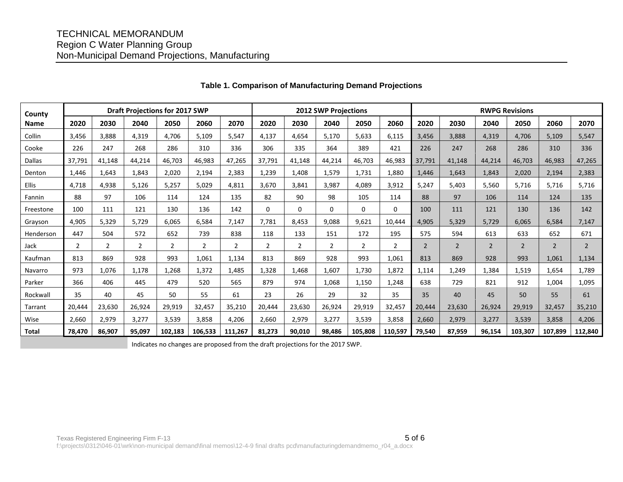## TECHNICAL MEMORANDUM Region C Water Planning Group Non-Municipal Demand Projections, Manufacturing

| County       | <b>Draft Projections for 2017 SWP</b> |                |                |                |                | <b>2012 SWP Projections</b> |                |        |                |                | <b>RWPG Revisions</b> |                |                |                |                |                |                |
|--------------|---------------------------------------|----------------|----------------|----------------|----------------|-----------------------------|----------------|--------|----------------|----------------|-----------------------|----------------|----------------|----------------|----------------|----------------|----------------|
| <b>Name</b>  | 2020                                  | 2030           | 2040           | 2050           | 2060           | 2070                        | 2020           | 2030   | 2040           | 2050           | 2060                  | 2020           | 2030           | 2040           | 2050           | 2060           | 2070           |
| Collin       | 3,456                                 | 3.888          | 4.319          | 4.706          | 5,109          | 5,547                       | 4,137          | 4,654  | 5,170          | 5,633          | 6,115                 | 3,456          | 3,888          | 4,319          | 4,706          | 5,109          | 5,547          |
| Cooke        | 226                                   | 247            | 268            | 286            | 310            | 336                         | 306            | 335    | 364            | 389            | 421                   | 226            | 247            | 268            | 286            | 310            | 336            |
| Dallas       | 37,791                                | 41,148         | 44,214         | 46,703         | 46,983         | 47,265                      | 37,791         | 41,148 | 44,214         | 46,703         | 46,983                | 37,791         | 41,148         | 44,214         | 46,703         | 46,983         | 47,265         |
| Denton       | 1,446                                 | 1,643          | 1,843          | 2,020          | 2,194          | 2,383                       | 1,239          | 1,408  | 1,579          | 1,731          | 1,880                 | 1,446          | 1,643          | 1,843          | 2,020          | 2,194          | 2,383          |
| Ellis        | 4,718                                 | 4,938          | 5,126          | 5,257          | 5,029          | 4,811                       | 3,670          | 3,841  | 3,987          | 4,089          | 3,912                 | 5,247          | 5,403          | 5,560          | 5,716          | 5,716          | 5,716          |
| Fannin       | 88                                    | 97             | 106            | 114            | 124            | 135                         | 82             | 90     | 98             | 105            | 114                   | 88             | 97             | 106            | 114            | 124            | 135            |
| Freestone    | 100                                   | 111            | 121            | 130            | 136            | 142                         | $\mathbf 0$    | 0      | $\mathbf 0$    | $\mathbf 0$    | $\mathbf 0$           | 100            | 111            | 121            | 130            | 136            | 142            |
| Grayson      | 4,905                                 | 5,329          | 5,729          | 6,065          | 6,584          | 7,147                       | 7,781          | 8,453  | 9,088          | 9,621          | 10,444                | 4,905          | 5,329          | 5,729          | 6,065          | 6,584          | 7,147          |
| Henderson    | 447                                   | 504            | 572            | 652            | 739            | 838                         | 118            | 133    | 151            | 172            | 195                   | 575            | 594            | 613            | 633            | 652            | 671            |
| Jack         | $\overline{2}$                        | $\overline{2}$ | $\overline{2}$ | $\overline{2}$ | $\overline{2}$ | $\overline{2}$              | $\overline{2}$ | 2      | $\overline{2}$ | $\overline{2}$ | $\overline{2}$        | $\overline{2}$ | $\overline{2}$ | $\overline{2}$ | $\overline{2}$ | $\overline{2}$ | $\overline{2}$ |
| Kaufman      | 813                                   | 869            | 928            | 993            | 1,061          | 1,134                       | 813            | 869    | 928            | 993            | 1,061                 | 813            | 869            | 928            | 993            | 1,061          | 1,134          |
| Navarro      | 973                                   | 1,076          | 1,178          | 1,268          | 1,372          | 1,485                       | 1,328          | 1,468  | 1,607          | 1,730          | 1,872                 | 1,114          | 1,249          | 1,384          | 1,519          | 1,654          | 1,789          |
| Parker       | 366                                   | 406            | 445            | 479            | 520            | 565                         | 879            | 974    | 1,068          | 1,150          | 1,248                 | 638            | 729            | 821            | 912            | 1,004          | 1,095          |
| Rockwall     | 35                                    | 40             | 45             | 50             | 55             | 61                          | 23             | 26     | 29             | 32             | 35                    | 35             | 40             | 45             | 50             | 55             | 61             |
| Tarrant      | 20,444                                | 23,630         | 26,924         | 29,919         | 32,457         | 35,210                      | 20,444         | 23,630 | 26,924         | 29,919         | 32,457                | 20,444         | 23,630         | 26,924         | 29,919         | 32,457         | 35,210         |
| Wise         | 2,660                                 | 2,979          | 3,277          | 3,539          | 3,858          | 4,206                       | 2,660          | 2,979  | 3,277          | 3,539          | 3,858                 | 2,660          | 2,979          | 3,277          | 3,539          | 3,858          | 4,206          |
| <b>Total</b> | 78,470                                | 86,907         | 95,097         | 102,183        | 106,533        | 111,267                     | 81,273         | 90,010 | 98,486         | 105,808        | 110,597               | 79,540         | 87,959         | 96,154         | 103,307        | 107,899        | 112,840        |

#### **Table 1. Comparison of Manufacturing Demand Projections**

Indicates no changes are proposed from the draft projections for the 2017 SWP.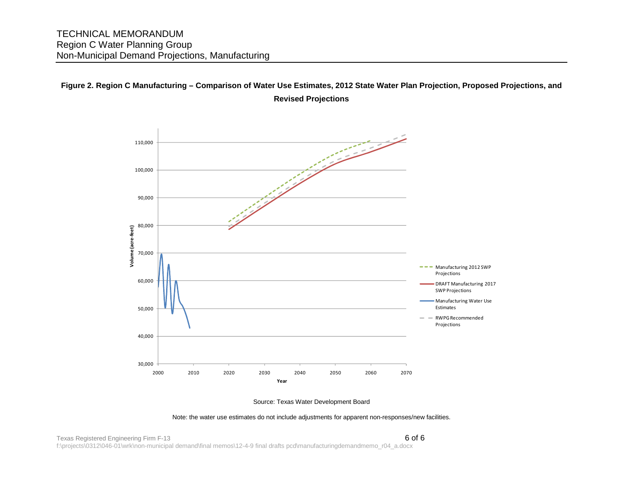## **Figure 2. Region C Manufacturing – Comparison of Water Use Estimates, 2012 State Water Plan Projection, Proposed Projections, and Revised Projections**





Note: the water use estimates do not include adjustments for apparent non-responses/new facilities.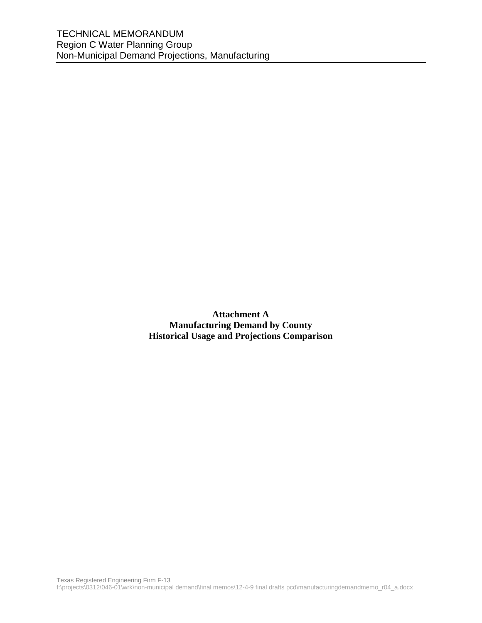**Attachment A Manufacturing Demand by County Historical Usage and Projections Comparison**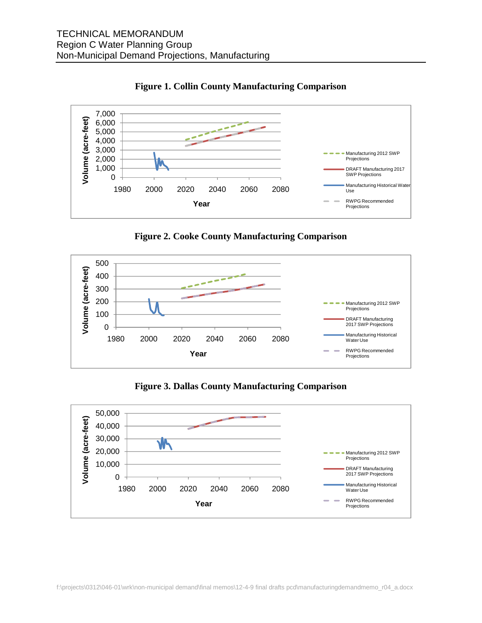



**Figure 2. Cooke County Manufacturing Comparison** 



**Figure 3. Dallas County Manufacturing Comparison** 

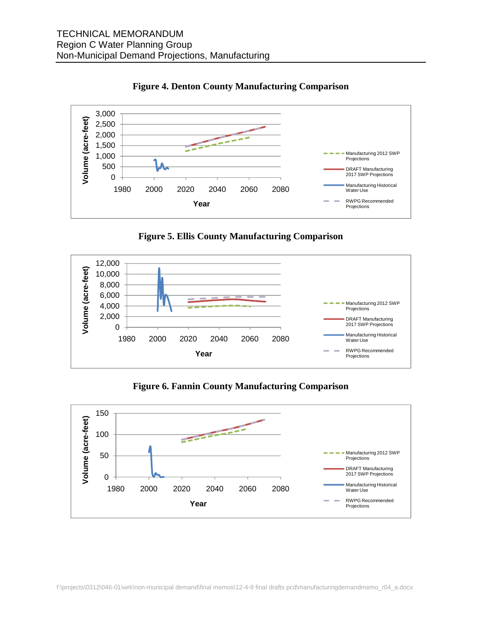



**Figure 5. Ellis County Manufacturing Comparison** 



**Figure 6. Fannin County Manufacturing Comparison** 

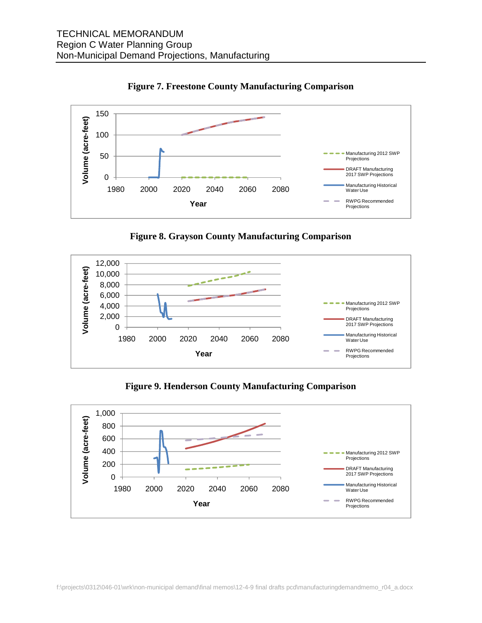

**Figure 7. Freestone County Manufacturing Comparison**

**Figure 8. Grayson County Manufacturing Comparison** 



**Figure 9. Henderson County Manufacturing Comparison**

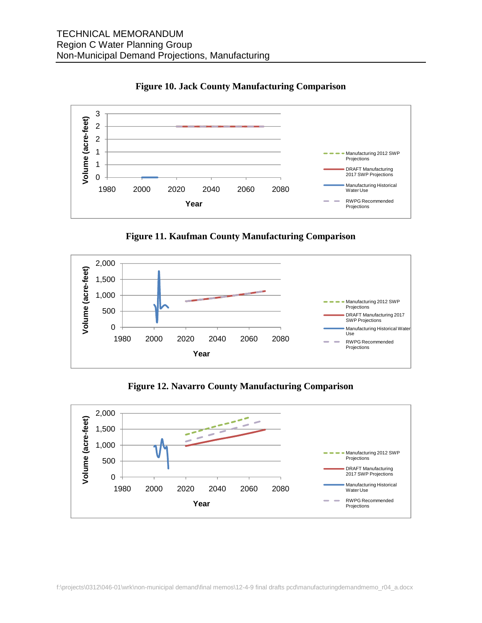

**Figure 10. Jack County Manufacturing Comparison** 

**Figure 11. Kaufman County Manufacturing Comparison** 



**Figure 12. Navarro County Manufacturing Comparison** 

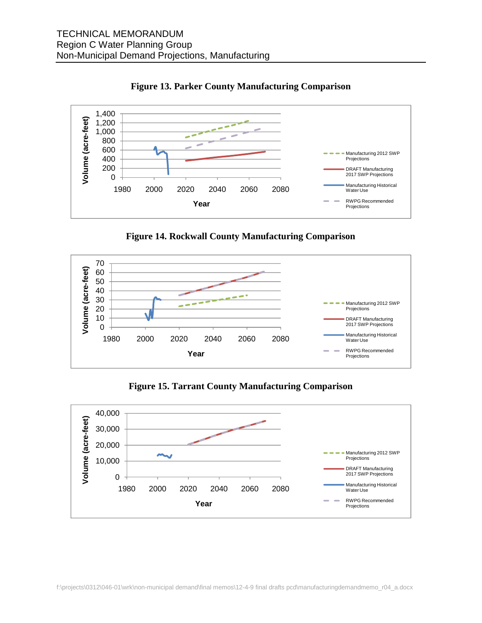



**Figure 14. Rockwall County Manufacturing Comparison**



**Figure 15. Tarrant County Manufacturing Comparison**